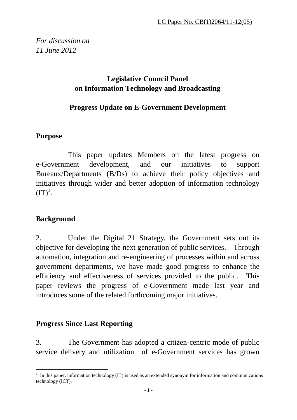*For discussion on 11 June 2012*

# **Legislative Council Panel on Information Technology and Broadcasting**

# **Progress Update on E-Government Development**

# **Purpose**

This paper updates Members on the latest progress on e-Government development, and our initiatives to support Bureaux/Departments (B/Ds) to achieve their policy objectives and initiatives through wider and better adoption of information technology  $(TT)^1$ .

# **Background**

2. Under the Digital 21 Strategy, the Government sets out its objective for developing the next generation of public services. Through automation, integration and re-engineering of processes within and across government departments, we have made good progress to enhance the efficiency and effectiveness of services provided to the public. This paper reviews the progress of e-Government made last year and introduces some of the related forthcoming major initiatives.

# **Progress Since Last Reporting**

3. The Government has adopted a citizen-centric mode of public service delivery and utilization of e-Government services has grown

 $\overline{a}$  $<sup>1</sup>$  In this paper, information technology (IT) is used as an extended synonym for information and communications</sup> technology (ICT).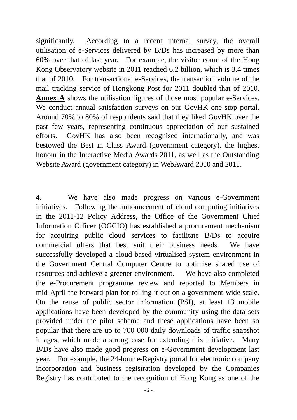significantly. According to a recent internal survey, the overall utilisation of e-Services delivered by B/Ds has increased by more than 60% over that of last year. For example, the visitor count of the Hong Kong Observatory website in 2011 reached 6.2 billion, which is 3.4 times that of 2010. For transactional e-Services, the transaction volume of the mail tracking service of Hongkong Post for 2011 doubled that of 2010. **Annex A** shows the utilisation figures of those most popular e-Services. We conduct annual satisfaction surveys on our GovHK one-stop portal. Around 70% to 80% of respondents said that they liked GovHK over the past few years, representing continuous appreciation of our sustained efforts. GovHK has also been recognised internationally, and was bestowed the Best in Class Award (government category), the highest honour in the Interactive Media Awards 2011, as well as the Outstanding Website Award (government category) in WebAward 2010 and 2011.

4. We have also made progress on various e-Government initiatives. Following the announcement of cloud computing initiatives in the 2011-12 Policy Address, the Office of the Government Chief Information Officer (OGCIO) has established a procurement mechanism for acquiring public cloud services to facilitate B/Ds to acquire commercial offers that best suit their business needs. We have successfully developed a cloud-based virtualised system environment in the Government Central Computer Centre to optimise shared use of resources and achieve a greener environment. We have also completed the e-Procurement programme review and reported to Members in mid-April the forward plan for rolling it out on a government-wide scale. On the reuse of public sector information (PSI), at least 13 mobile applications have been developed by the community using the data sets provided under the pilot scheme and these applications have been so popular that there are up to 700 000 daily downloads of traffic snapshot images, which made a strong case for extending this initiative. Many B/Ds have also made good progress on e-Government development last year. For example, the 24-hour e-Registry portal for electronic company incorporation and business registration developed by the Companies Registry has contributed to the recognition of Hong Kong as one of the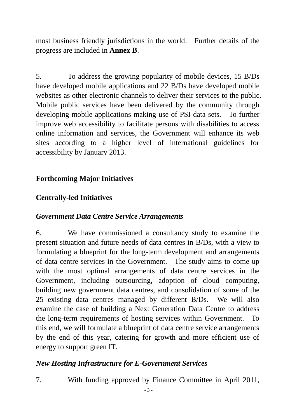most business friendly jurisdictions in the world. Further details of the progress are included in **Annex B**.

5. To address the growing popularity of mobile devices, 15 B/Ds have developed mobile applications and 22 B/Ds have developed mobile websites as other electronic channels to deliver their services to the public. Mobile public services have been delivered by the community through developing mobile applications making use of PSI data sets. To further improve web accessibility to facilitate persons with disabilities to access online information and services, the Government will enhance its web sites according to a higher level of international guidelines for accessibility by January 2013.

### **Forthcoming Major Initiatives**

### **Centrally-led Initiatives**

### *Government Data Centre Service Arrangements*

6. We have commissioned a consultancy study to examine the present situation and future needs of data centres in B/Ds, with a view to formulating a blueprint for the long-term development and arrangements of data centre services in the Government. The study aims to come up with the most optimal arrangements of data centre services in the Government, including outsourcing, adoption of cloud computing, building new government data centres, and consolidation of some of the 25 existing data centres managed by different B/Ds. We will also examine the case of building a Next Generation Data Centre to address the long-term requirements of hosting services within Government. To this end, we will formulate a blueprint of data centre service arrangements by the end of this year, catering for growth and more efficient use of energy to support green IT.

### *New Hosting Infrastructure for E-Government Services*

7. With funding approved by Finance Committee in April 2011,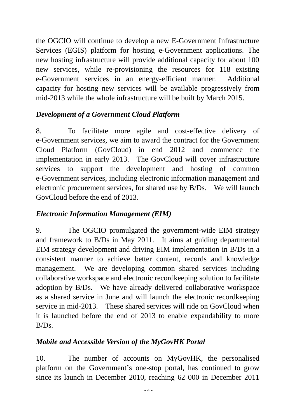the OGCIO will continue to develop a new E-Government Infrastructure Services (EGIS) platform for hosting e-Government applications. The new hosting infrastructure will provide additional capacity for about 100 new services, while re-provisioning the resources for 118 existing e-Government services in an energy-efficient manner. Additional capacity for hosting new services will be available progressively from mid-2013 while the whole infrastructure will be built by March 2015.

# *Development of a Government Cloud Platform*

8. To facilitate more agile and cost-effective delivery of e-Government services, we aim to award the contract for the Government Cloud Platform (GovCloud) in end 2012 and commence the implementation in early 2013. The GovCloud will cover infrastructure services to support the development and hosting of common e-Government services, including electronic information management and electronic procurement services, for shared use by B/Ds. We will launch GovCloud before the end of 2013.

# *Electronic Information Management (EIM)*

9. The OGCIO promulgated the government-wide EIM strategy and framework to B/Ds in May 2011. It aims at guiding departmental EIM strategy development and driving EIM implementation in B/Ds in a consistent manner to achieve better content, records and knowledge management. We are developing common shared services including collaborative workspace and electronic recordkeeping solution to facilitate adoption by B/Ds. We have already delivered collaborative workspace as a shared service in June and will launch the electronic recordkeeping service in mid-2013. These shared services will ride on GovCloud when it is launched before the end of 2013 to enable expandability to more B/Ds.

# *Mobile and Accessible Version of the MyGovHK Portal*

10. The number of accounts on MyGovHK, the personalised platform on the Government's one-stop portal, has continued to grow since its launch in December 2010, reaching 62 000 in December 2011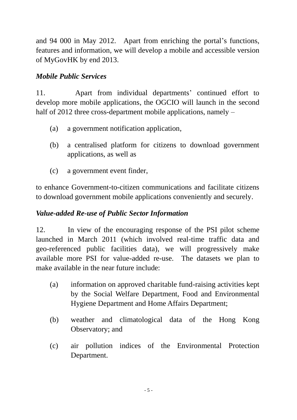and 94 000 in May 2012. Apart from enriching the portal's functions, features and information, we will develop a mobile and accessible version of MyGovHK by end 2013.

# *Mobile Public Services*

11. Apart from individual departments' continued effort to develop more mobile applications, the OGCIO will launch in the second half of 2012 three cross-department mobile applications, namely –

- (a) a government notification application,
- (b) a centralised platform for citizens to download government applications, as well as
- (c) a government event finder,

to enhance Government-to-citizen communications and facilitate citizens to download government mobile applications conveniently and securely.

# *Value-added Re-use of Public Sector Information*

12. In view of the encouraging response of the PSI pilot scheme launched in March 2011 (which involved real-time traffic data and geo-referenced public facilities data), we will progressively make available more PSI for value-added re-use. The datasets we plan to make available in the near future include:

- (a) information on approved charitable fund-raising activities kept by the Social Welfare Department, Food and Environmental Hygiene Department and Home Affairs Department;
- (b) weather and climatological data of the Hong Kong Observatory; and
- (c) air pollution indices of the Environmental Protection Department.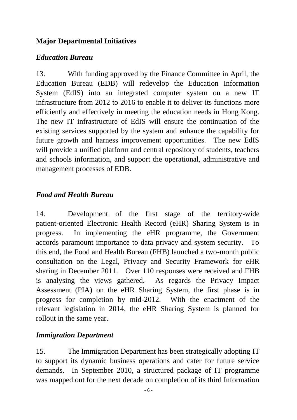# **Major Departmental Initiatives**

# *Education Bureau*

13. With funding approved by the Finance Committee in April, the Education Bureau (EDB) will redevelop the Education Information System (EdIS) into an integrated computer system on a new IT infrastructure from 2012 to 2016 to enable it to deliver its functions more efficiently and effectively in meeting the education needs in Hong Kong. The new IT infrastructure of EdIS will ensure the continuation of the existing services supported by the system and enhance the capability for future growth and harness improvement opportunities. The new EdIS will provide a unified platform and central repository of students, teachers and schools information, and support the operational, administrative and management processes of EDB.

# *Food and Health Bureau*

14. Development of the first stage of the territory-wide patient-oriented Electronic Health Record (eHR) Sharing System is in progress. In implementing the eHR programme, the Government accords paramount importance to data privacy and system security. To this end, the Food and Health Bureau (FHB) launched a two-month public consultation on the Legal, Privacy and Security Framework for eHR sharing in December 2011. Over 110 responses were received and FHB is analysing the views gathered. As regards the Privacy Impact Assessment (PIA) on the eHR Sharing System, the first phase is in progress for completion by mid-2012. With the enactment of the relevant legislation in 2014, the eHR Sharing System is planned for rollout in the same year.

# *Immigration Department*

15. The Immigration Department has been strategically adopting IT to support its dynamic business operations and cater for future service demands. In September 2010, a structured package of IT programme was mapped out for the next decade on completion of its third Information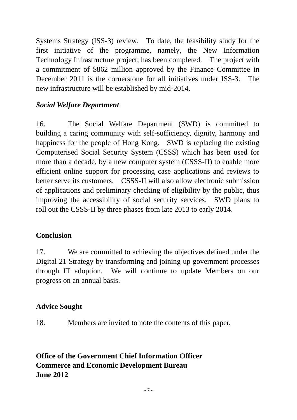Systems Strategy (ISS-3) review. To date, the feasibility study for the first initiative of the programme, namely, the New Information Technology Infrastructure project, has been completed. The project with a commitment of \$862 million approved by the Finance Committee in December 2011 is the cornerstone for all initiatives under ISS-3. The new infrastructure will be established by mid-2014.

### *Social Welfare Department*

16. The Social Welfare Department (SWD) is committed to building a caring community with self-sufficiency, dignity, harmony and happiness for the people of Hong Kong. SWD is replacing the existing Computerised Social Security System (CSSS) which has been used for more than a decade, by a new computer system (CSSS-II) to enable more efficient online support for processing case applications and reviews to better serve its customers. CSSS-II will also allow electronic submission of applications and preliminary checking of eligibility by the public, thus improving the accessibility of social security services. SWD plans to roll out the CSSS-II by three phases from late 2013 to early 2014.

### **Conclusion**

17. We are committed to achieving the objectives defined under the Digital 21 Strategy by transforming and joining up government processes through IT adoption. We will continue to update Members on our progress on an annual basis.

### **Advice Sought**

18. Members are invited to note the contents of this paper.

**Office of the Government Chief Information Officer Commerce and Economic Development Bureau June 2012**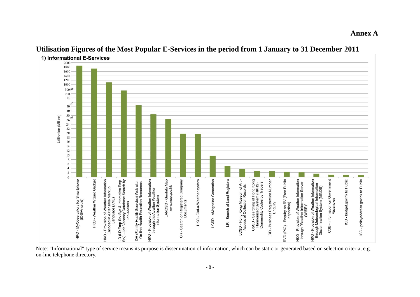1) Informational E-Services 2000 1800 1600 1400 1200 1000  $300 \neq$ 200 100 50 40 30 Utilisation (Million) 26  $24$  $22\,$ 20 18 16  $14$ 12  $10$  $\,$  8  $\,$ 6  $\overline{4}$  $\overline{c}$  $\overline{0}$ HKO - MyObservatory for Smartphone HKO - Weather Wizard Gadget HKO - Provision of Weather Information<br>Encoded in eXtensible Markup LD (LD Emp Srv Sys & Interactive Emp<br>Srv) - Job Vacancy Database Search by<br>Job-seekers HKO - Provision of Weather Information<br>through the Aviation Weather<br>Information System LANDSD - GeoInfo Map<br>www.map.gov.hk CR - Search on Registered Company C&SD - Searching of Hong Kong<br>Harmonized System (HKHS)<br>Commodity Codes by Traders RD - Business Registration Number RVD (PIO) - Enquiry on RV (Free Public HKO - Provision of Weather Information<br>through "Weather Information Server HKO - Provision of Weather Information<br>through Meteorological Information<br>Dissemination System (MINDS) CSB - Information on Government SD - budget.gov.hk to Public ISD - policyaddress.gov.hk to Public HKO - Dial-a-Weather system LCSD - eMagazine Generation LR - Search of Land Registers DH (Family Health Sservice) Web site<br>On-line Health Education Resources LCSD - Hong Kong Museum of Art<br>Access of Collection Records Language (XML)  $(WISE)^"$ 

### **Utilisation Figures of the Most Popular E-Services in the period from 1 January to 31 December 2011**

**Annex A**

Note: "Informational" type of service means its purpose is dissemination of information, which can be static or generated based on selection criteria, e.g. on-line telephone directory.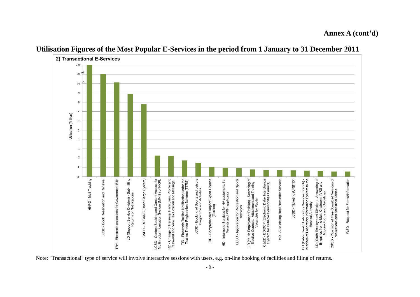2) Transactional E-Services 220  $20 \neq$  $10 \neq$ 9  $\overline{R}$  $\overline{7}$ Utilisation (Million) 6 5  $\overline{4}$  $\overline{\mathbf{3}}$  $\overline{2}$  $\mathbf{1}$  $\Omega$ LD (Support Service Division) - Submitting<br>Returns or Notifications RD - Change of Personal Particulars, Profile and<br>Password and View Tax Position and Message LCSD - Application for Recreation and Sports LD (Youth Employment Division) - Searching of<br>Elective Courses, Attachment and Training<br>Vacancies by Public LCSD - Ticketing (URBTIX) DH (Public Health Laboratory Services Branch) -<br>Interface of Laboratory Information System to the<br>Hospital Authority  $\overline{\sigma}$ C&SD - Provision of Free Download Versions of<br>Publications and Statistical Tables C&ED - ROCARS (Road Cargo System) C&ED - EDIDCP (Electronic Data- Interchange<br>System for Dutiable Commodities Permits) WSD - Request for Forms/Information HKPO - Mail Tracking LCSD - Book Reservation and Renewal TRY - Electronic collections for Government Bills LCSD - Content Booking and Content Access for<br>Multimedia Information System (MMIS) of HKPL TID - Electronic Textiles Notification under the<br>Textiles Trader Registration Scheme (TTRS) Leisure TID - Comprehensive Import/Export Licence<br>(Textiles) HD - Internet e-Services for HA customers, i.e.<br>Tenants and PRH applicants HD - Auto-dialing Rent Reminder Services - Answering o<br>m, IVRS and LCSD - Booking of Sports and L<br>Programme and Activities LD (Youth Employment Division) - Answ<br>Enquiries from e-Mall, Chatroom, IVR<br>Acquire Forms and Guidelines

#### **Utilisation Figures of the Most Popular E-Services in the period from 1 January to 31 December 2011**

Note: "Transactional" type of service will involve interactive sessions with users, e.g. on-line booking of facilities and filing of returns.

#### **Annex A (cont'd)**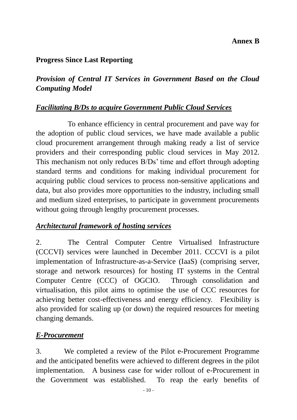### **Annex B**

### **Progress Since Last Reporting**

# *Provision of Central IT Services in Government Based on the Cloud Computing Model*

### *Facilitating B/Ds to acquire Government Public Cloud Services*

To enhance efficiency in central procurement and pave way for the adoption of public cloud services, we have made available a public cloud procurement arrangement through making ready a list of service providers and their corresponding public cloud services in May 2012. This mechanism not only reduces B/Ds' time and effort through adopting standard terms and conditions for making individual procurement for acquiring public cloud services to process non-sensitive applications and data, but also provides more opportunities to the industry, including small and medium sized enterprises, to participate in government procurements without going through lengthy procurement processes.

### *Architectural framework of hosting services*

2. The Central Computer Centre Virtualised Infrastructure (CCCVI) services were launched in December 2011. CCCVI is a pilot implementation of Infrastructure-as-a-Service (IaaS) (comprising server, storage and network resources) for hosting IT systems in the Central Computer Centre (CCC) of OGCIO. Through consolidation and virtualisation, this pilot aims to optimise the use of CCC resources for achieving better cost-effectiveness and energy efficiency. Flexibility is also provided for scaling up (or down) the required resources for meeting changing demands.

# *E-Procurement*

3. We completed a review of the Pilot e-Procurement Programme and the anticipated benefits were achieved to different degrees in the pilot implementation. A business case for wider rollout of e-Procurement in the Government was established. To reap the early benefits of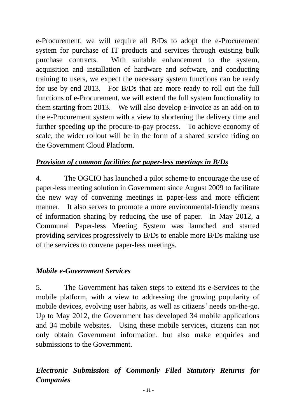e-Procurement, we will require all B/Ds to adopt the e-Procurement system for purchase of IT products and services through existing bulk purchase contracts. With suitable enhancement to the system, acquisition and installation of hardware and software, and conducting training to users, we expect the necessary system functions can be ready for use by end 2013. For B/Ds that are more ready to roll out the full functions of e-Procurement, we will extend the full system functionality to them starting from 2013. We will also develop e-invoice as an add-on to the e-Procurement system with a view to shortening the delivery time and further speeding up the procure-to-pay process. To achieve economy of scale, the wider rollout will be in the form of a shared service riding on the Government Cloud Platform.

### *Provision of common facilities for paper-less meetings in B/Ds*

4. The OGCIO has launched a pilot scheme to encourage the use of paper-less meeting solution in Government since August 2009 to facilitate the new way of convening meetings in paper-less and more efficient manner. It also serves to promote a more environmental-friendly means of information sharing by reducing the use of paper. In May 2012, a Communal Paper-less Meeting System was launched and started providing services progressively to B/Ds to enable more B/Ds making use of the services to convene paper-less meetings.

# *Mobile e-Government Services*

5. The Government has taken steps to extend its e-Services to the mobile platform, with a view to addressing the growing popularity of mobile devices, evolving user habits, as well as citizens' needs on-the-go. Up to May 2012, the Government has developed 34 mobile applications and 34 mobile websites. Using these mobile services, citizens can not only obtain Government information, but also make enquiries and submissions to the Government.

# *Electronic Submission of Commonly Filed Statutory Returns for Companies*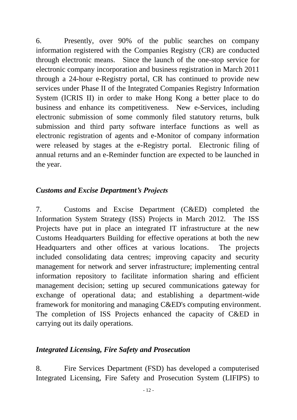6. Presently, over 90% of the public searches on company information registered with the Companies Registry (CR) are conducted through electronic means. Since the launch of the one-stop service for electronic company incorporation and business registration in March 2011 through a 24-hour e-Registry portal, CR has continued to provide new services under Phase II of the Integrated Companies Registry Information System (ICRIS II) in order to make Hong Kong a better place to do business and enhance its competitiveness. New e-Services, including electronic submission of some commonly filed statutory returns, bulk submission and third party software interface functions as well as electronic registration of agents and e-Monitor of company information were released by stages at the e-Registry portal. Electronic filing of annual returns and an e-Reminder function are expected to be launched in the year.

# *Customs and Excise Department's Projects*

7. Customs and Excise Department (C&ED) completed the Information System Strategy (ISS) Projects in March 2012. The ISS Projects have put in place an integrated IT infrastructure at the new Customs Headquarters Building for effective operations at both the new Headquarters and other offices at various locations. The projects included consolidating data centres; improving capacity and security management for network and server infrastructure; implementing central information repository to facilitate information sharing and efficient management decision; setting up secured communications gateway for exchange of operational data; and establishing a department-wide framework for monitoring and managing C&ED's computing environment. The completion of ISS Projects enhanced the capacity of C&ED in carrying out its daily operations.

### *Integrated Licensing, Fire Safety and Prosecution*

8. Fire Services Department (FSD) has developed a computerised Integrated Licensing, Fire Safety and Prosecution System (LIFIPS) to